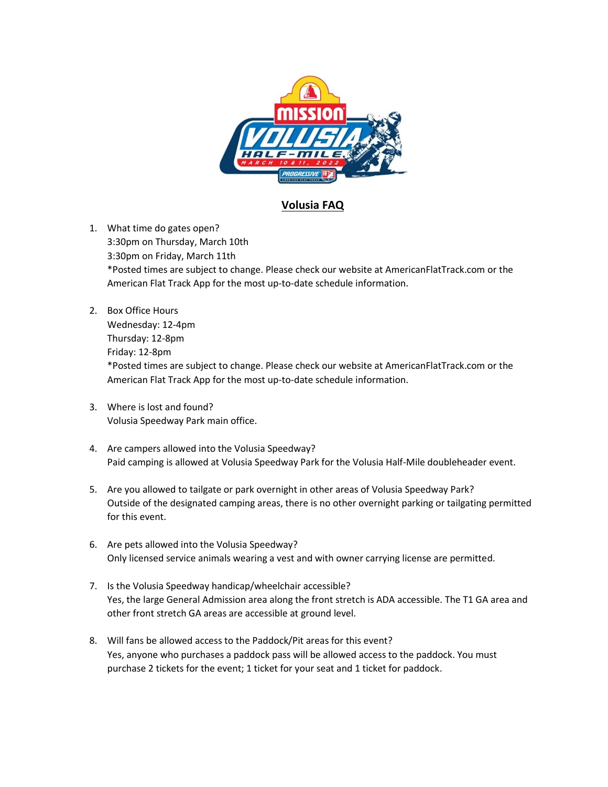

## **Volusia FAQ**

1. What time do gates open? 3:30pm on Thursday, March 10th 3:30pm on Friday, March 11th \*Posted times are subject to change. Please check our website at AmericanFlatTrack.com or the American Flat Track App for the most up-to-date schedule information.

- 2. Box Office Hours Wednesday: 12-4pm Thursday: 12-8pm Friday: 12-8pm \*Posted times are subject to change. Please check our website at AmericanFlatTrack.com or the American Flat Track App for the most up-to-date schedule information.
- 3. Where is lost and found? Volusia Speedway Park main office.
- 4. Are campers allowed into the Volusia Speedway? Paid camping is allowed at Volusia Speedway Park for the Volusia Half-Mile doubleheader event.
- 5. Are you allowed to tailgate or park overnight in other areas of Volusia Speedway Park? Outside of the designated camping areas, there is no other overnight parking or tailgating permitted for this event.
- 6. Are pets allowed into the Volusia Speedway? Only licensed service animals wearing a vest and with owner carrying license are permitted.
- 7. Is the Volusia Speedway handicap/wheelchair accessible? Yes, the large General Admission area along the front stretch is ADA accessible. The T1 GA area and other front stretch GA areas are accessible at ground level.
- 8. Will fans be allowed access to the Paddock/Pit areas for this event? Yes, anyone who purchases a paddock pass will be allowed access to the paddock. You must purchase 2 tickets for the event; 1 ticket for your seat and 1 ticket for paddock.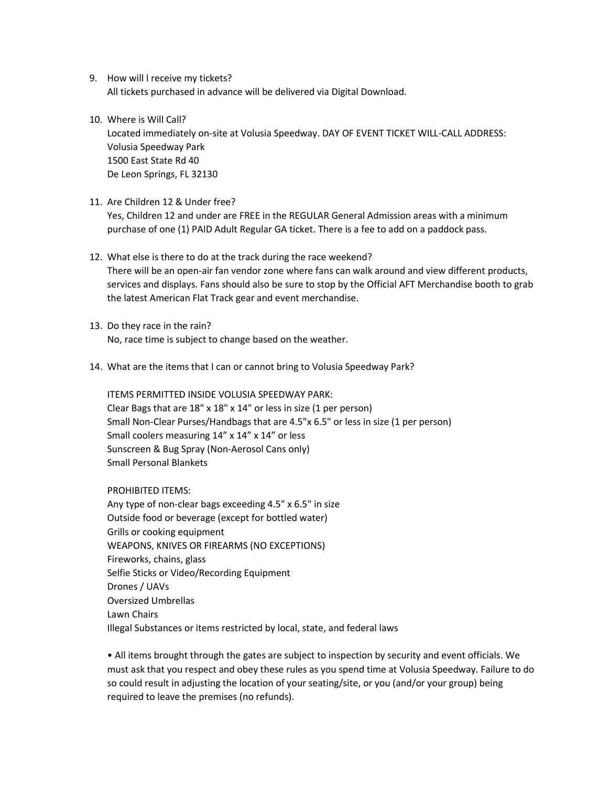- 9. How will I receive my tickets? All tickets purchased in advance will be delivered via Digital Download.
- 10. Where is Will Call?

Located immediately on-site at Volusia Speedway. DAY OF EVENT TICKET WILL-CALL ADDRESS: Volusia Speedway Park 1500 East State Rd 40 De Leon Springs, FL 32130

11. Are Children 12 & Under free?

Yes, Children 12 and under are FREE in the REGULAR General Admission areas with a minimum purchase of one (1) PAID Adult Regular GA ticket. There is a fee to add on a paddock pass.

- 12. What else is there to do at the track during the race weekend? There will be an open-air fan vendor zone where fans can walk around and view different products, services and displays. Fans should also be sure to stop by the Official AFT Merchandise booth to grab the latest American Flat Track gear and event merchandise.
- 13. Do they race in the rain? No, race time is subject to change based on the weather.
- 14. What are the items that I can or cannot bring to Volusia Speedway Park?

ITEMS PERMITTED INSIDE VOLUSIA SPEEDWAY PARK: Clear Bags that are 18" x 18" x 14" or less in size (1 per person) Small Non-Clear Purses/Handbags that are 4.5"x 6.5" or less in size (1 per person) Small coolers measuring 14" x 14" x 14" or less Sunscreen & Bug Spray (Non-Aerosol Cans only) Small Personal Blankets

PROHIBITED ITEMS:

Any type of non-clear bags exceeding 4.5" x 6.5" in size Outside food or beverage (except for bottled water) Grills or cooking equipment WEAPONS, KNIVES OR FIREARMS (NO EXCEPTIONS) Fireworks, chains, glass Selfie Sticks or Video/Recording Equipment Drones / UAVs Oversized Umbrellas Lawn Chairs Illegal Substances or items restricted by local, state, and federal laws

• All items brought through the gates are subject to inspection by security and event officials. We must ask that you respect and obey these rules as you spend time at Volusia Speedway. Failure to do so could result in adjusting the location of your seating/site, or you (and/or your group) being required to leave the premises (no refunds).